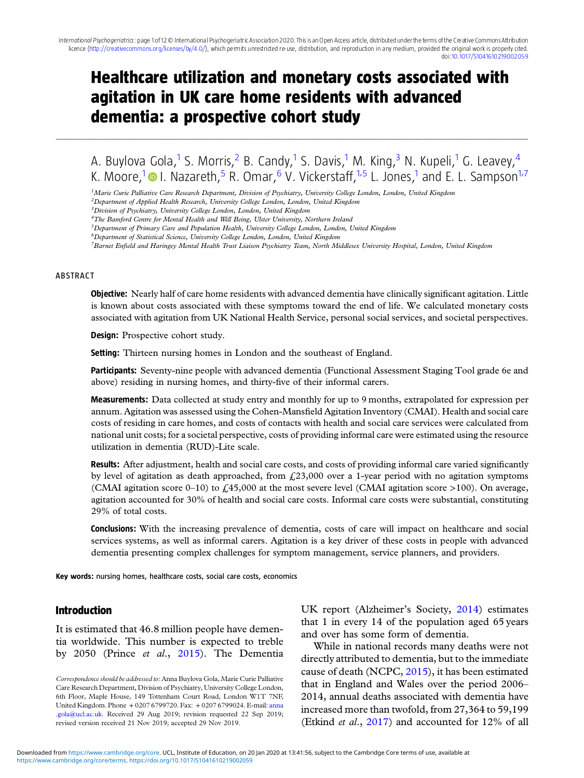# Healthcare utilization and monetary costs associated with agitation in UK care home residents with advanced dementia: a prospective cohort study

........................................................................................................................................................................................................................................................................................................................................................................................................................................................................................................................................................................................................................

A. Buylova Gola,<sup>1</sup> S. Morris,<sup>2</sup> B. Candy,<sup>1</sup> S. Davis,<sup>1</sup> M. King,<sup>3</sup> N. Kupeli,<sup>1</sup> G. Leavey,<sup>4</sup> K. Moore,<sup>1</sup> I. Nazareth,<sup>5</sup> R. Omar,<sup>6</sup> V. Vickerstaff,<sup>1,5</sup> L. Jones,<sup>1</sup> and E. L. Sampson<sup>1,7</sup>

<sup>1</sup>Marie Curie Palliative Care Research Department, Division of Psychiatry, University College London, London, United Kingdom

7Barnet Enfield and Haringey Mental Health Trust Liaison Psychiatry Team, North Middlesex University Hospital, London, United Kingdom

#### ABSTRACT

**Objective:** Nearly half of care home residents with advanced dementia have clinically significant agitation. Little is known about costs associated with these symptoms toward the end of life. We calculated monetary costs associated with agitation from UK National Health Service, personal social services, and societal perspectives.

Design: Prospective cohort study.

Setting: Thirteen nursing homes in London and the southeast of England.

Participants: Seventy-nine people with advanced dementia (Functional Assessment Staging Tool grade 6e and above) residing in nursing homes, and thirty-five of their informal carers.

Measurements: Data collected at study entry and monthly for up to 9 months, extrapolated for expression per annum. Agitation was assessed using the Cohen-Mansfield Agitation Inventory (CMAI). Health and social care costs of residing in care homes, and costs of contacts with health and social care services were calculated from national unit costs; for a societal perspective, costs of providing informal care were estimated using the resource utilization in dementia (RUD)-Lite scale.

Results: After adjustment, health and social care costs, and costs of providing informal care varied significantly by level of agitation as death approached, from  $\ell$ , 23,000 over a 1-year period with no agitation symptoms (CMAI agitation score 0–10) to £45,000 at the most severe level (CMAI agitation score >100). On average, agitation accounted for 30% of health and social care costs. Informal care costs were substantial, constituting 29% of total costs.

Conclusions: With the increasing prevalence of dementia, costs of care will impact on healthcare and social services systems, as well as informal carers. Agitation is a key driver of these costs in people with advanced dementia presenting complex challenges for symptom management, service planners, and providers.

Key words: nursing homes, healthcare costs, social care costs, economics

#### Introduction

It is estimated that 46.8 million people have dementia worldwide. This number is expected to treble by 2050 (Prince et al., [2015\)](#page-11-0). The Dementia

Correspondence should be addressed to: Anna Buylova Gola, Marie Curie Palliative Care Research Department, Division of Psychiatry, University College London, 6th Floor, Maple House, 149 Tottenham Court Road, London W1T 7NF, United Kingdom. Phone + 0207 6799720. Fax: + 0207 6799024. E-mail: [anna](mailto:anna.gola@ucl.ac.uk) [.gola@ucl.ac.uk.](mailto:anna.gola@ucl.ac.uk) Received 29 Aug 2019; revision requested 22 Sep 2019; revised version received 21 Nov 2019; accepted 29 Nov 2019.

UK report (Alzheimer's Society, [2014](#page-9-0)) estimates that 1 in every 14 of the population aged 65 years and over has some form of dementia.

While in national records many deaths were not directly attributed to dementia, but to the immediate cause of death (NCPC, [2015](#page-10-0)), it has been estimated that in England and Wales over the period 2006– 2014, annual deaths associated with dementia have increased more than twofold, from 27,364 to 59,199 (Etkind et al., [2017](#page-10-0)) and accounted for 12% of all

<sup>&</sup>lt;sup>2</sup>Department of Applied Health Research, University College London, London, United Kingdom

<sup>&</sup>lt;sup>3</sup> Division of Psychiatry, University College London, London, United Kingdom

<sup>4</sup>The Bamford Centre for Mental Health and Well Being, Ulster University, Northern Ireland

<sup>&</sup>lt;sup>5</sup>Department of Primary Care and Population Health, University College London, London, United Kingdom

 ${}^6$ Department of Statistical Science, University College London, London, United Kingdom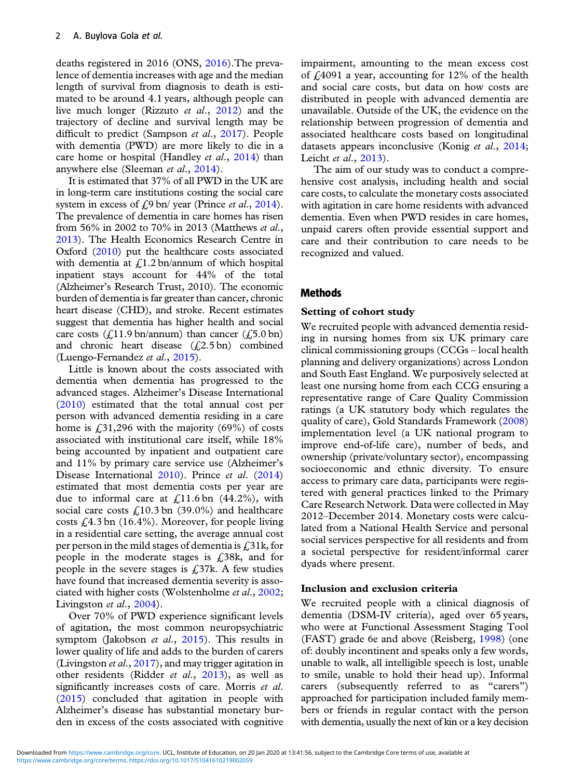deaths registered in 2016 (ONS, [2016\)](#page-10-0).The prevalence of dementia increases with age and the median length of survival from diagnosis to death is estimated to be around 4.1 years, although people can live much longer (Rizzuto et al., [2012\)](#page-11-0) and the trajectory of decline and survival length may be difficult to predict (Sampson et al., [2017](#page-11-0)). People with dementia (PWD) are more likely to die in a care home or hospital (Handley *et al.*, [2014\)](#page-10-0) than anywhere else (Sleeman et al., [2014\)](#page-11-0).

It is estimated that 37% of all PWD in the UK are in long-term care institutions costing the social care system in excess of  $\zeta$ 9 bn/ year (Prince *et al.*, [2014](#page-10-0)). The prevalence of dementia in care homes has risen from 56% in 2002 to 70% in 2013 (Matthews et al., [2013](#page-10-0)). The Health Economics Research Centre in Oxford ([2010\)](#page-10-0) put the healthcare costs associated with dementia at  $\mathcal{L}$ 1.2 bn/annum of which hospital inpatient stays account for 44% of the total (Alzheimer's Research Trust, 2010). The economic burden of dementia is far greater than cancer, chronic heart disease (CHD), and stroke. Recent estimates suggest that dementia has higher health and social care costs  $(f.11.9 \text{ bn} / \text{annum})$  than cancer  $(f.5.0 \text{ bn})$ and chronic heart disease  $(f<sub>2</sub>2.5$  bn) combined (Luengo-Fernandez et al., [2015\)](#page-10-0).

Little is known about the costs associated with dementia when dementia has progressed to the advanced stages. Alzheimer's Disease International ([2010\)](#page-9-0) estimated that the total annual cost per person with advanced dementia residing in a care home is  $\text{\textsterling}31,296$  with the majority (69%) of costs associated with institutional care itself, while 18% being accounted by inpatient and outpatient care and 11% by primary care service use (Alzheimer's Disease International [2010\)](#page-9-0). Prince et al. [\(2014](#page-10-0)) estimated that most dementia costs per year are due to informal care at  $\text{\textsterling}11.6$  bn (44.2%), with social care costs  $f(10.3 \text{ bn} (39.0\%)$  and healthcare costs  $\text{\textsterling}4.3$  bn (16.4%). Moreover, for people living in a residential care setting, the average annual cost per person in the mild stages of dementia is  $\angle 31k$ , for people in the moderate stages is £38k, and for people in the severe stages is  $£37k$ . A few studies have found that increased dementia severity is asso-ciated with higher costs (Wolstenholme et al., [2002;](#page-11-0) Livingston et al., [2004](#page-10-0)).

Over 70% of PWD experience significant levels of agitation, the most common neuropsychiatric symptom (Jakobson et al., [2015](#page-10-0)). This results in lower quality of life and adds to the burden of carers (Livingston *et al.*,  $2017$ ), and may trigger agitation in other residents (Ridder et al., [2013\)](#page-11-0), as well as significantly increases costs of care. Morris *et al.* ([2015\)](#page-10-0) concluded that agitation in people with Alzheimer's disease has substantial monetary burden in excess of the costs associated with cognitive impairment, amounting to the mean excess cost of  $\text{\textsterling}4091$  a year, accounting for 12% of the health and social care costs, but data on how costs are distributed in people with advanced dementia are unavailable. Outside of the UK, the evidence on the relationship between progression of dementia and associated healthcare costs based on longitudinal datasets appears inconclusive (Konig et al., [2014;](#page-10-0) Leicht et al., [2013\)](#page-10-0).

The aim of our study was to conduct a comprehensive cost analysis, including health and social care costs, to calculate the monetary costs associated with agitation in care home residents with advanced dementia. Even when PWD resides in care homes, unpaid carers often provide essential support and care and their contribution to care needs to be recognized and valued.

## Methods

## Setting of cohort study

We recruited people with advanced dementia residing in nursing homes from six UK primary care clinical commissioning groups (CCGs – local health planning and delivery organizations) across London and South East England. We purposively selected at least one nursing home from each CCG ensuring a representative range of Care Quality Commission ratings (a UK statutory body which regulates the quality of care), Gold Standards Framework [\(2008](#page-10-0)) implementation level (a UK national program to improve end-of-life care), number of beds, and ownership (private/voluntary sector), encompassing socioeconomic and ethnic diversity. To ensure access to primary care data, participants were registered with general practices linked to the Primary Care Research Network. Data were collected in May 2012–December 2014. Monetary costs were calculated from a National Health Service and personal social services perspective for all residents and from a societal perspective for resident/informal carer dyads where present.

## Inclusion and exclusion criteria

We recruited people with a clinical diagnosis of dementia (DSM-IV criteria), aged over 65 years, who were at Functional Assessment Staging Tool (FAST) grade 6e and above (Reisberg, [1998](#page-11-0)) (one of: doubly incontinent and speaks only a few words, unable to walk, all intelligible speech is lost, unable to smile, unable to hold their head up). Informal carers (subsequently referred to as "carers") approached for participation included family members or friends in regular contact with the person with dementia, usually the next of kin or a key decision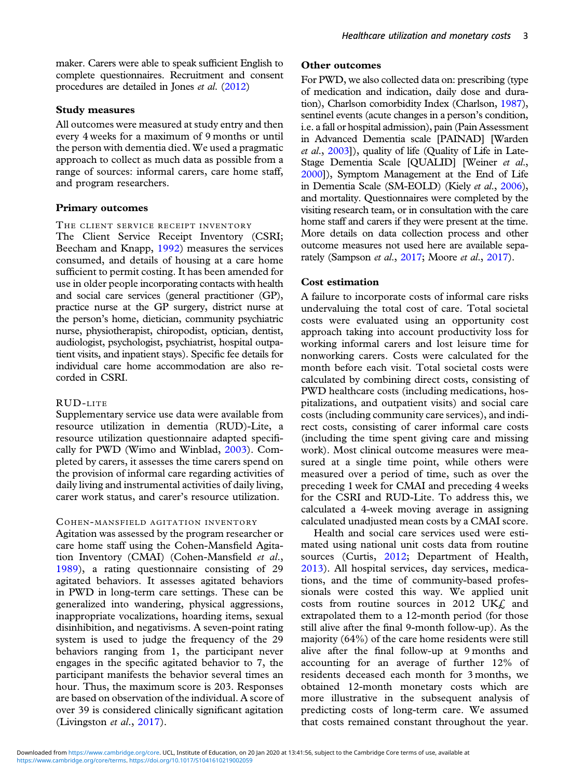maker. Carers were able to speak sufficient English to complete questionnaires. Recruitment and consent procedures are detailed in Jones et al. [\(2012\)](#page-10-0)

#### Study measures

All outcomes were measured at study entry and then every 4 weeks for a maximum of 9 months or until the person with dementia died. We used a pragmatic approach to collect as much data as possible from a range of sources: informal carers, care home staff, and program researchers.

#### Primary outcomes

#### THE CLIENT SERVICE RECEIPT INVENTORY

The Client Service Receipt Inventory (CSRI; Beecham and Knapp, [1992](#page-9-0)) measures the services consumed, and details of housing at a care home sufficient to permit costing. It has been amended for use in older people incorporating contacts with health and social care services (general practitioner (GP), practice nurse at the GP surgery, district nurse at the person's home, dietician, community psychiatric nurse, physiotherapist, chiropodist, optician, dentist, audiologist, psychologist, psychiatrist, hospital outpatient visits, and inpatient stays). Specific fee details for individual care home accommodation are also recorded in CSRI.

# RUD-LITE

Supplementary service use data were available from resource utilization in dementia (RUD)-Lite, a resource utilization questionnaire adapted specifically for PWD (Wimo and Winblad, [2003\)](#page-11-0). Completed by carers, it assesses the time carers spend on the provision of informal care regarding activities of daily living and instrumental activities of daily living, carer work status, and carer's resource utilization.

#### C OHEN -MANSFIELD AGITATION INVENTORY

Agitation was assessed by the program researcher or care home staff using the Cohen-Mansfield Agitation Inventory (CMAI) (Cohen-Mansfield et al., [1989\)](#page-10-0), a rating questionnaire consisting of 29 agitated behaviors. It assesses agitated behaviors in PWD in long-term care settings. These can be generalized into wandering, physical aggressions, inappropriate vocalizations, hoarding items, sexual disinhibition, and negativisms. A seven-point rating system is used to judge the frequency of the 29 behaviors ranging from 1, the participant never engages in the specific agitated behavior to 7, the participant manifests the behavior several times an hour. Thus, the maximum score is 203. Responses are based on observation of the individual. A score of over 39 is considered clinically significant agitation (Livingston et al., [2017](#page-10-0)).

#### Other outcomes

For PWD, we also collected data on: prescribing (type of medication and indication, daily dose and duration), Charlson comorbidity Index (Charlson, [1987](#page-9-0)), sentinel events (acute changes in a person's condition, i.e. a fall or hospital admission), pain (Pain Assessment in Advanced Dementia scale [PAINAD] [Warden et al., [2003](#page-11-0)]), quality of life (Quality of Life in Late-Stage Dementia Scale [QUALID] [Weiner et al., [2000\]](#page-11-0)), Symptom Management at the End of Life in Dementia Scale (SM-EOLD) (Kiely et al., [2006](#page-10-0)), and mortality. Questionnaires were completed by the visiting research team, or in consultation with the care home staff and carers if they were present at the time. More details on data collection process and other outcome measures not used here are available sepa-rately (Sampson et al., [2017](#page-10-0); Moore et al., 2017).

### Cost estimation

A failure to incorporate costs of informal care risks undervaluing the total cost of care. Total societal costs were evaluated using an opportunity cost approach taking into account productivity loss for working informal carers and lost leisure time for nonworking carers. Costs were calculated for the month before each visit. Total societal costs were calculated by combining direct costs, consisting of PWD healthcare costs (including medications, hospitalizations, and outpatient visits) and social care costs (including community care services), and indirect costs, consisting of carer informal care costs (including the time spent giving care and missing work). Most clinical outcome measures were measured at a single time point, while others were measured over a period of time, such as over the preceding 1 week for CMAI and preceding 4 weeks for the CSRI and RUD-Lite. To address this, we calculated a 4-week moving average in assigning calculated unadjusted mean costs by a CMAI score.

Health and social care services used were estimated using national unit costs data from routine sources (Curtis, [2012;](#page-10-0) Department of Health, [2013\)](#page-10-0). All hospital services, day services, medications, and the time of community-based professionals were costed this way. We applied unit costs from routine sources in 2012 UK $\ell$  and extrapolated them to a 12-month period (for those still alive after the final 9-month follow-up). As the majority (64%) of the care home residents were still alive after the final follow-up at 9 months and accounting for an average of further 12% of residents deceased each month for 3 months, we obtained 12-month monetary costs which are more illustrative in the subsequent analysis of predicting costs of long-term care. We assumed that costs remained constant throughout the year.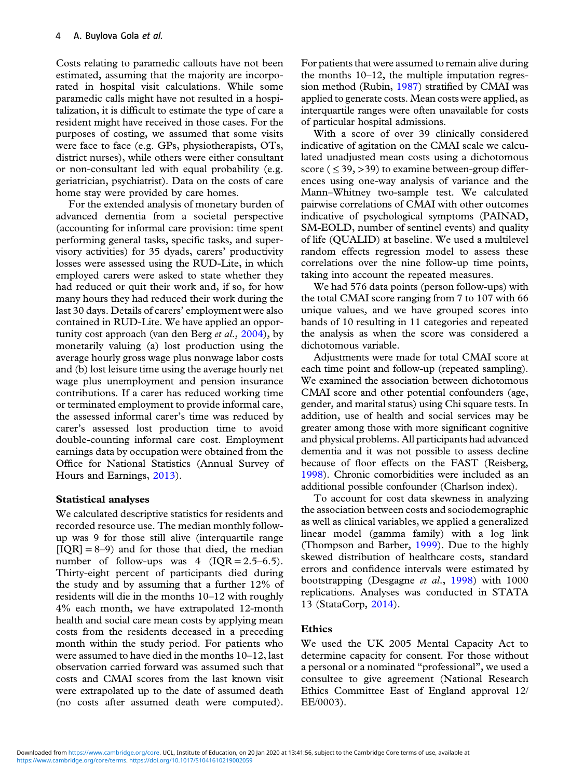Costs relating to paramedic callouts have not been estimated, assuming that the majority are incorporated in hospital visit calculations. While some paramedic calls might have not resulted in a hospitalization, it is difficult to estimate the type of care a resident might have received in those cases. For the purposes of costing, we assumed that some visits were face to face (e.g. GPs, physiotherapists, OTs, district nurses), while others were either consultant or non-consultant led with equal probability (e.g. geriatrician, psychiatrist). Data on the costs of care home stay were provided by care homes.

For the extended analysis of monetary burden of advanced dementia from a societal perspective (accounting for informal care provision: time spent performing general tasks, specific tasks, and supervisory activities) for 35 dyads, carers' productivity losses were assessed using the RUD-Lite, in which employed carers were asked to state whether they had reduced or quit their work and, if so, for how many hours they had reduced their work during the last 30 days. Details of carers' employment were also contained in RUD-Lite. We have applied an opportunity cost approach (van den Berg *et al.*,  $2004$ ), by monetarily valuing (a) lost production using the average hourly gross wage plus nonwage labor costs and (b) lost leisure time using the average hourly net wage plus unemployment and pension insurance contributions. If a carer has reduced working time or terminated employment to provide informal care, the assessed informal carer's time was reduced by carer's assessed lost production time to avoid double-counting informal care cost. Employment earnings data by occupation were obtained from the Office for National Statistics (Annual Survey of Hours and Earnings, [2013\)](#page-10-0).

## Statistical analyses

We calculated descriptive statistics for residents and recorded resource use. The median monthly followup was 9 for those still alive (interquartile range  $[IOR] = 8-9$  and for those that died, the median number of follow-ups was  $4$  (IQR = 2.5–6.5). Thirty-eight percent of participants died during the study and by assuming that a further 12% of residents will die in the months 10–12 with roughly 4% each month, we have extrapolated 12-month health and social care mean costs by applying mean costs from the residents deceased in a preceding month within the study period. For patients who were assumed to have died in the months 10–12, last observation carried forward was assumed such that costs and CMAI scores from the last known visit were extrapolated up to the date of assumed death (no costs after assumed death were computed). For patients that were assumed to remain alive during the months 10–12, the multiple imputation regression method (Rubin, [1987\)](#page-11-0) stratified by CMAI was applied to generate costs. Mean costs were applied, as interquartile ranges were often unavailable for costs of particular hospital admissions.

With a score of over 39 clinically considered indicative of agitation on the CMAI scale we calculated unadjusted mean costs using a dichotomous score ( $\leq$  39,  $>$  39) to examine between-group differences using one-way analysis of variance and the Mann–Whitney two-sample test. We calculated pairwise correlations of CMAI with other outcomes indicative of psychological symptoms (PAINAD, SM-EOLD, number of sentinel events) and quality of life (QUALID) at baseline. We used a multilevel random effects regression model to assess these correlations over the nine follow-up time points, taking into account the repeated measures.

We had 576 data points (person follow-ups) with the total CMAI score ranging from 7 to 107 with 66 unique values, and we have grouped scores into bands of 10 resulting in 11 categories and repeated the analysis as when the score was considered a dichotomous variable.

Adjustments were made for total CMAI score at each time point and follow-up (repeated sampling). We examined the association between dichotomous CMAI score and other potential confounders (age, gender, and marital status) using Chi square tests. In addition, use of health and social services may be greater among those with more significant cognitive and physical problems. All participants had advanced dementia and it was not possible to assess decline because of floor effects on the FAST (Reisberg, [1998](#page-11-0)). Chronic comorbidities were included as an additional possible confounder (Charlson index).

To account for cost data skewness in analyzing the association between costs and sociodemographic as well as clinical variables, we applied a generalized linear model (gamma family) with a log link (Thompson and Barber, [1999](#page-11-0)). Due to the highly skewed distribution of healthcare costs, standard errors and confidence intervals were estimated by bootstrapping (Desgagne et al., [1998](#page-10-0)) with 1000 replications. Analyses was conducted in STATA 13 (StataCorp, [2014](#page-11-0)).

## Ethics

We used the UK 2005 Mental Capacity Act to determine capacity for consent. For those without a personal or a nominated "professional", we used a consultee to give agreement (National Research Ethics Committee East of England approval 12/ EE/0003).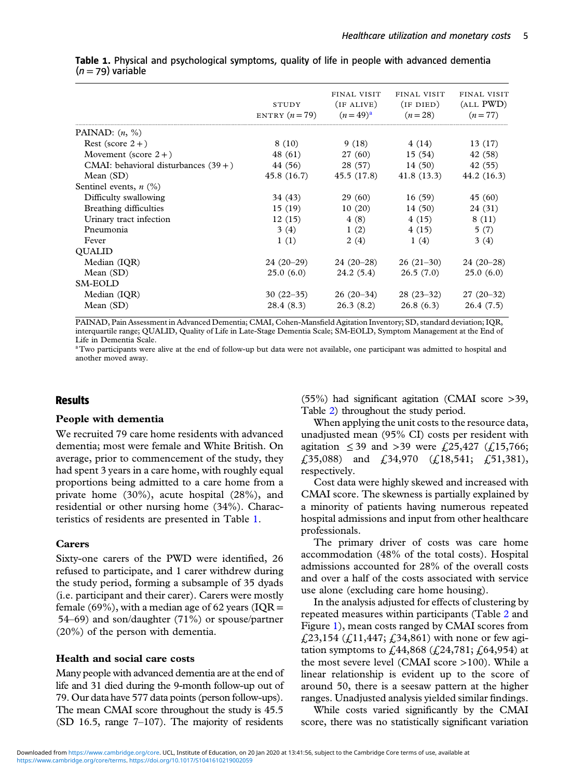|                                         | STUDY<br>ENTRY $(n=79)$ | FINAL VISIT<br>(IF ALIVE)<br>$(n=49)^{a}$ | FINAL VISIT<br>$($ IF DIED $)$<br>$(n=28)$ | FINAL VISIT<br>(ALL PWD)<br>$(n=77)$ |
|-----------------------------------------|-------------------------|-------------------------------------------|--------------------------------------------|--------------------------------------|
| PAINAD: $(n, %)$                        |                         |                                           |                                            |                                      |
| Rest (score $2+$ )                      | 8 (10)                  | 9(18)                                     | 4 (14)                                     | 13(17)                               |
| Movement (score $2+$ )                  | 48 (61)                 | 27 (60)                                   | 15(54)                                     | 42 (58)                              |
| CMAI: behavioral disturbances $(39 + )$ | 44 (56)                 | 28 (57)                                   | 14(50)                                     | 42 (55)                              |
| Mean $(SD)$                             | 45.8 (16.7)             | 45.5 (17.8)                               | 41.8 (13.3)                                | 44.2 (16.3)                          |
| Sentinel events, $n$ (%)                |                         |                                           |                                            |                                      |
| Difficulty swallowing                   | 34 (43)                 | 29(60)                                    | 16(59)                                     | 45 (60)                              |
| Breathing difficulties                  | 15(19)                  | 10(20)                                    | 14(50)                                     | 24 (31)                              |
| Urinary tract infection                 | 12(15)                  | 4(8)                                      | 4(15)                                      | 8(11)                                |
| Pneumonia                               | 3(4)                    | 1(2)                                      | 4(15)                                      | 5(7)                                 |
| Fever                                   | 1(1)                    | 2(4)                                      | 1(4)                                       | 3(4)                                 |
| <b>OUALID</b>                           |                         |                                           |                                            |                                      |
| Median (IQR)                            | $24(20-29)$             | $24(20-28)$                               | $26(21-30)$                                | $24(20-28)$                          |
| Mean $(SD)$                             | 25.0(6.0)               | 24.2(5.4)                                 | 26.5(7.0)                                  | 25.0(6.0)                            |
| SM-EOLD                                 |                         |                                           |                                            |                                      |
| Median (IQR)                            | $30(22-35)$             | $26(20-34)$                               | $28(23-32)$                                | $27(20-32)$                          |
| Mean $(SD)$                             | 28.4 (8.3)              | 26.3(8.2)                                 | 26.8(6.3)                                  | 26.4(7.5)                            |
|                                         |                         |                                           |                                            |                                      |

Table 1. Physical and psychological symptoms, quality of life in people with advanced dementia  $(n = 79)$  variable

PAINAD, Pain Assessment in Advanced Dementia; CMAI, Cohen-Mansfield Agitation Inventory; SD, standard deviation; IQR, interquartile range; QUALID, Quality of Life in Late-Stage Dementia Scale; SM-EOLD, Symptom Management at the End of Life in Dementia Scale.

aTwo participants were alive at the end of follow-up but data were not available, one participant was admitted to hospital and another moved away.

## **Results**

#### People with dementia

We recruited 79 care home residents with advanced dementia; most were female and White British. On average, prior to commencement of the study, they had spent 3 years in a care home, with roughly equal proportions being admitted to a care home from a private home (30%), acute hospital (28%), and residential or other nursing home (34%). Characteristics of residents are presented in Table 1.

#### Carers

Sixty-one carers of the PWD were identified, 26 refused to participate, and 1 carer withdrew during the study period, forming a subsample of 35 dyads (i.e. participant and their carer). Carers were mostly female (69%), with a median age of 62 years ( $IQR =$ 54–69) and son/daughter (71%) or spouse/partner (20%) of the person with dementia.

#### Health and social care costs

Many people with advanced dementia are at the end of life and 31 died during the 9-month follow-up out of 79. Our data have 577 data points (person follow-ups). The mean CMAI score throughout the study is 45.5 (SD 16.5, range 7–107). The majority of residents

(55%) had significant agitation (CMAI score >39, Table [2](#page-5-0)) throughout the study period.

When applying the unit costs to the resource data, unadjusted mean (95% CI) costs per resident with agitation ≤ 39 and > 39 were £ 25,427 (£ 15,766;  $\pounds$ 35,088) and  $\pounds$ 34,970 ( $\pounds$ 18,541;  $\pounds$ 51,381), respectively.

Cost data were highly skewed and increased with CMAI score. The skewness is partially explained by a minority of patients having numerous repeated hospital admissions and input from other healthcare professionals.

The primary driver of costs was care home accommodation (48% of the total costs). Hospital admissions accounted for 28% of the overall costs and over a half of the costs associated with service use alone (excluding care home housing).

In the analysis adjusted for effects of clustering by repeated measures within participants (Table [2](#page-5-0) and Figure [1](#page-5-0)), mean costs ranged by CMAI scores from £23,154 (£11,447; £34,861) with none or few agitation symptoms to £44,868 (£24,781; £64,954) at the most severe level (CMAI score >100). While a linear relationship is evident up to the score of around 50, there is a seesaw pattern at the higher ranges. Unadjusted analysis yielded similar findings.

While costs varied significantly by the CMAI score, there was no statistically significant variation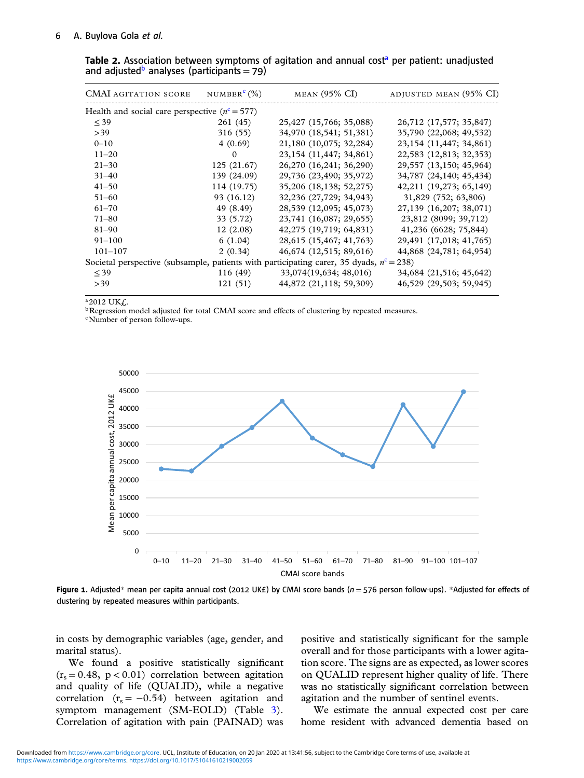#### <span id="page-5-0"></span>6 A. Buylova Gola et al.

| <b>CMAI</b> AGITATION SCORE                                                                | NUMBER <sup>c</sup> $(\%)$ | $MEAN$ (95% CI)            | ADJUSTED MEAN (95% CI)     |
|--------------------------------------------------------------------------------------------|----------------------------|----------------------------|----------------------------|
| Health and social care perspective $(nc = 577)$                                            |                            |                            |                            |
| $<$ 39                                                                                     | 261 (45)                   | 25,427 (15,766; 35,088)    | 26,712 (17,577; 35,847)    |
| >39                                                                                        | 316(55)                    | 34,970 (18,541; 51,381)    | 35,790 (22,068; 49,532)    |
| $0 - 10$                                                                                   | 4(0.69)                    | 21,180 (10,075; 32,284)    | 23, 154 (11, 447; 34, 861) |
| $11 - 20$                                                                                  | $\Omega$                   | 23, 154 (11, 447; 34, 861) | 22,583 (12,813; 32,353)    |
| $21 - 30$                                                                                  | 125 (21.67)                | 26,270 (16,241; 36,290)    | 29,557 (13,150; 45,964)    |
| $31 - 40$                                                                                  | 139 (24.09)                | 29,736 (23,490; 35,972)    | 34,787 (24,140; 45,434)    |
| $41 - 50$                                                                                  | 114 (19.75)                | 35,206 (18,138; 52,275)    | 42,211 (19,273; 65,149)    |
| $51 - 60$                                                                                  | 93 (16.12)                 | 32,236 (27,729; 34,943)    | 31,829 (752; 63,806)       |
| $61 - 70$                                                                                  | 49 (8.49)                  | 28,539 (12,095; 45,073)    | 27,139 (16,207; 38,071)    |
| $71 - 80$                                                                                  | 33 (5.72)                  | 23,741 (16,087; 29,655)    | 23,812 (8099; 39,712)      |
| $81 - 90$                                                                                  | 12(2.08)                   | 42,275 (19,719; 64,831)    | 41,236 (6628; 75,844)      |
| $91 - 100$                                                                                 | 6(1.04)                    | 28,615 (15,467; 41,763)    | 29,491 (17,018; 41,765)    |
| $101 - 107$                                                                                | 2(0.34)                    | 46,674 (12,515; 89,616)    | 44,868 (24,781; 64,954)    |
| Societal perspective (subsample, patients with participating carer, 35 dyads, $nc = 238$ ) |                            |                            |                            |
| $<$ 39                                                                                     | 116(49)                    | 33,074(19,634; 48,016)     | 34,684 (21,516; 45,642)    |
| >39                                                                                        | 121(51)                    | 44,872 (21,118; 59,309)    | 46,529 (29,503; 59,945)    |

Table 2. Association between symptoms of agitation and annual cost<sup>a</sup> per patient: unadjusted and adjusted<sup>b</sup> analyses (participants = 79)

 $a_{2012}$  UK $f$ .

**bRegression model adjusted for total CMAI score and effects of clustering by repeated measures.** 

cNumber of person follow-ups.



Figure 1. Adjusted\* mean per capita annual cost (2012 UK£) by CMAI score bands ( $n = 576$  person follow-ups). \*Adjusted for effects of clustering by repeated measures within participants.

in costs by demographic variables (age, gender, and marital status).

We found a positive statistically significant  $(r_s = 0.48, p < 0.01)$  correlation between agitation and quality of life (QUALID), while a negative correlation  $(r<sub>s</sub> = -0.54)$  between agitation and symptom management (SM-EOLD) (Table [3\)](#page-6-0). Correlation of agitation with pain (PAINAD) was

positive and statistically significant for the sample overall and for those participants with a lower agitation score. The signs are as expected, as lower scores on QUALID represent higher quality of life. There was no statistically significant correlation between agitation and the number of sentinel events.

We estimate the annual expected cost per care home resident with advanced dementia based on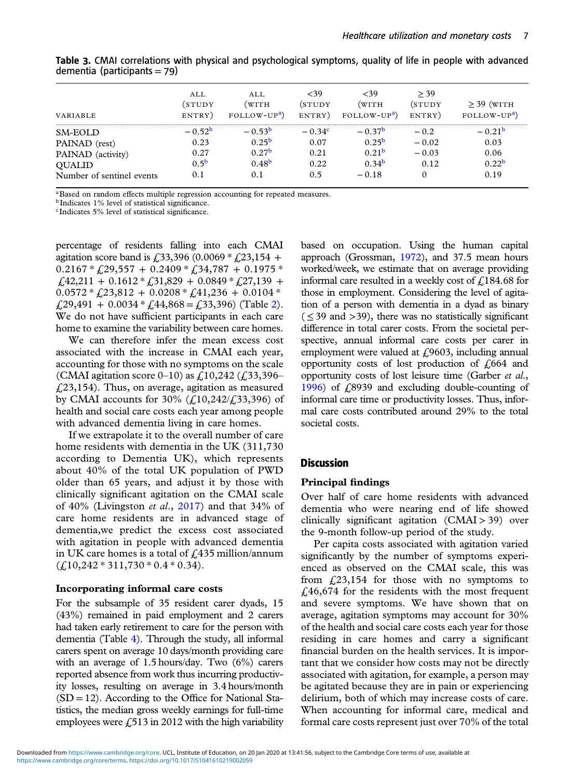|                           | AI.I.     | AI.I.             | <39      | <39                      | > 39    |                   |
|---------------------------|-----------|-------------------|----------|--------------------------|---------|-------------------|
|                           | (STUDY    | WITH              | (STUDY   | (WITH                    | (STUDY  | $\geq$ 39 (WITH   |
| <b>VARIABLE</b>           | ENTRY)    | $FOLLOW-UPa$      | ENTRY)   | FOLLOW-UP <sup>a</sup> ) | ENTRY)  | $FOLLOW-UPa$      |
| SM-EOLD                   | $-0.52b$  | $-0.53b$          | $-0.34c$ | $-0.37b$                 | $-0.2$  | $-0.21b$          |
| PAINAD (rest)             | 0.23      | $0.25^{b}$        | 0.07     | $0.25^{b}$               | $-0.02$ | 0.03              |
| PAINAD (activity)         | 0.27      | 0.27 <sup>b</sup> | 0.21     | 0.21 <sup>b</sup>        | $-0.03$ | 0.06              |
| <b>QUALID</b>             | $0.5^{b}$ | 0.48 <sup>b</sup> | 0.22     | 0.34 <sup>b</sup>        | 0.12    | 0.22 <sup>b</sup> |
| Number of sentinel events | 0.1       | 0.1               | 0.5      | $-0.18$                  |         | 0.19              |

<span id="page-6-0"></span>Table 3. CMAI correlations with physical and psychological symptoms, quality of life in people with advanced dementia (participants = 79)

<sup>a</sup>Based on random effects multiple regression accounting for repeated measures.

<sup>b</sup> Indicates 1% level of statistical significance.

<sup>c</sup> Indicates 5% level of statistical significance.

percentage of residents falling into each CMAI agitation score band is  $\text{\textsterling}33,396$  (0.0069  $\text{\textsterling}23,154$  +  $0.2167 * \pounds29,557 + 0.2409 * \pounds34,787 + 0.1975 *$  $\pounds$ 42,211 + 0.1612 \*  $\pounds$ 31,829 + 0.0849 \*  $\pounds$ 27,139 +  $0.0572 * \text{\textsterling}23,812 + 0.0208 * \text{\textsterling}41,236 + 0.0104 *$  $f(29,491 + 0.0034 * f(44,868) = f(33,396)$  $f(29,491 + 0.0034 * f(44,868) = f(33,396)$  $f(29,491 + 0.0034 * f(44,868) = f(33,396)$  (Table 2). We do not have sufficient participants in each care home to examine the variability between care homes.

We can therefore infer the mean excess cost associated with the increase in CMAI each year, accounting for those with no symptoms on the scale (CMAI agitation score 0–10) as  $\text{\textsterling}10,242 \text{\textsterling}33,396$  $f(23,154)$ . Thus, on average, agitation as measured by CMAI accounts for 30% ( $\zeta$ 10,242/ $\zeta$ 33,396) of health and social care costs each year among people with advanced dementia living in care homes.

If we extrapolate it to the overall number of care home residents with dementia in the UK (311,730 according to Dementia UK), which represents about 40% of the total UK population of PWD older than 65 years, and adjust it by those with clinically significant agitation on the CMAI scale of 40% (Livingston et al., [2017](#page-10-0)) and that 34% of care home residents are in advanced stage of dementia,we predict the excess cost associated with agitation in people with advanced dementia in UK care homes is a total of  $f<sub>1</sub>435$  million/annum  $(\text{\textsterling}10,242 * 311,730 * 0.4 * 0.34).$ 

#### Incorporating informal care costs

For the subsample of 35 resident carer dyads, 15 (43%) remained in paid employment and 2 carers had taken early retirement to care for the person with dementia (Table [4](#page-7-0)). Through the study, all informal carers spent on average 10 days/month providing care with an average of 1.5 hours/day. Two (6%) carers reported absence from work thus incurring productivity losses, resulting on average in 3.4 hours/month  $(SD = 12)$ . According to the Office for National Statistics, the median gross weekly earnings for full-time employees were  $\text{\emph{f}}_2$  513 in 2012 with the high variability based on occupation. Using the human capital approach (Grossman, [1972\)](#page-10-0), and 37.5 mean hours worked/week, we estimate that on average providing informal care resulted in a weekly cost of  $\text{\textsterling}184.68$  for those in employment. Considering the level of agitation of a person with dementia in a dyad as binary  $( $\leq 39$  and  $>39$ ), there was no statistically significant$ difference in total carer costs. From the societal perspective, annual informal care costs per carer in employment were valued at  $f(9603)$ , including annual opportunity costs of lost production of  $\zeta$ 664 and opportunity costs of lost leisure time (Garber et al., [1996\)](#page-10-0) of £8939 and excluding double-counting of informal care time or productivity losses. Thus, informal care costs contributed around 29% to the total societal costs.

## **Discussion**

## Principal findings

Over half of care home residents with advanced dementia who were nearing end of life showed clinically significant agitation  $(CMAI > 39)$  over the 9-month follow-up period of the study.

Per capita costs associated with agitation varied significantly by the number of symptoms experienced as observed on the CMAI scale, this was from  $\text{\emph{L}}23,154$  for those with no symptoms to  $£46,674$  for the residents with the most frequent and severe symptoms. We have shown that on average, agitation symptoms may account for 30% of the health and social care costs each year for those residing in care homes and carry a significant financial burden on the health services. It is important that we consider how costs may not be directly associated with agitation, for example, a person may be agitated because they are in pain or experiencing delirium, both of which may increase costs of care. When accounting for informal care, medical and formal care costs represent just over 70% of the total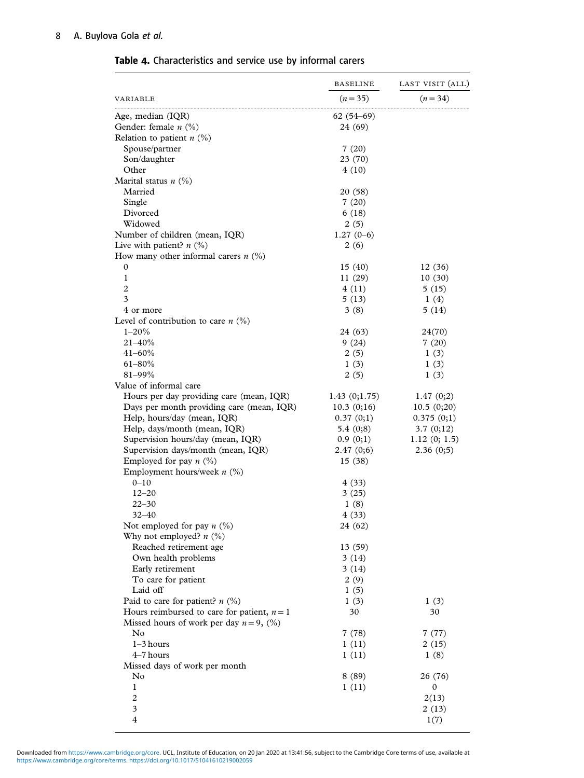|                                                                                             | <b>BASELINE</b> | LAST VISIT (ALL) |
|---------------------------------------------------------------------------------------------|-----------------|------------------|
| VARIABLE                                                                                    | $(n=35)$        | $(n=34)$         |
| Age, median (IQR)                                                                           | $62(54-69)$     |                  |
| Gender: female $n$ (%)                                                                      | 24 (69)         |                  |
| Relation to patient $n$ (%)                                                                 |                 |                  |
| Spouse/partner                                                                              | 7(20)           |                  |
| Son/daughter                                                                                | 23 (70)         |                  |
| Other                                                                                       | 4(10)           |                  |
| Marital status $n$ (%)                                                                      |                 |                  |
| Married                                                                                     | 20 (58)         |                  |
| Single                                                                                      | 7(20)           |                  |
| Divorced                                                                                    | 6(18)           |                  |
| Widowed                                                                                     | 2(5)            |                  |
| Number of children (mean, IQR)                                                              | $1.27(0-6)$     |                  |
| Live with patient? $n$ (%)                                                                  | 2(6)            |                  |
| How many other informal carers $n$ (%)                                                      |                 |                  |
| 0                                                                                           | 15(40)          | 12(36)           |
| 1                                                                                           | 11(29)          | 10(30)           |
| $\overline{2}$                                                                              | 4(11)           | 5(15)            |
| 3                                                                                           | 5(13)           | 1(4)             |
| 4 or more                                                                                   | 3(8)            | 5(14)            |
| Level of contribution to care $n$ (%)                                                       |                 |                  |
| $1 - 20%$                                                                                   | 24 (63)         | 24(70)           |
| $21 - 40\%$                                                                                 | 9(24)           | 7(20)            |
| $41 - 60\%$                                                                                 | 2(5)            | 1(3)             |
| $61 - 80\%$                                                                                 | 1(3)            | 1(3)             |
| 81-99%                                                                                      | 2(5)            | 1(3)             |
| Value of informal care                                                                      |                 |                  |
| Hours per day providing care (mean, IQR)                                                    | 1.43(0;1.75)    | 1.47(0;2)        |
| Days per month providing care (mean, IQR)                                                   | 10.3(0;16)      | 10.5(0;20)       |
| Help, hours/day (mean, IQR)                                                                 | 0.37(0;1)       | 0.375(0;1)       |
| Help, days/month (mean, IQR)                                                                | 5.4 $(0,8)$     | 3.7(0;12)        |
| Supervision hours/day (mean, IQR)                                                           | 0.9(0;1)        | 1.12(0; 1.5)     |
| Supervision days/month (mean, IQR)                                                          | 2.47(0;6)       | 2.36(0;5)        |
| Employed for pay $n$ (%)                                                                    | 15(38)          |                  |
| Employment hours/week $n$ (%)                                                               |                 |                  |
| $0 - 10$                                                                                    | 4 (33)          |                  |
| $12 - 20$                                                                                   | 3(25)           |                  |
| 22–30                                                                                       | 1(8)            |                  |
| $32 - 40$                                                                                   | 4(33)           |                  |
| Not employed for pay $n$ (%)                                                                | 24 (62)         |                  |
| Why not employed? $n$ (%)                                                                   |                 |                  |
| Reached retirement age                                                                      | 13(59)          |                  |
| Own health problems                                                                         | 3(14)           |                  |
| Early retirement<br>To care for patient                                                     | 3(14)           |                  |
| Laid off                                                                                    | 2(9)            |                  |
| Paid to care for patient? $n$ (%)                                                           | 1(5)            |                  |
|                                                                                             | 1(3)<br>30      | 1(3)<br>30       |
| Hours reimbursed to care for patient, $n = 1$<br>Missed hours of work per day $n = 9$ , (%) |                 |                  |
| N <sub>0</sub>                                                                              | 7(78)           | 7(77)            |
| $1-3$ hours                                                                                 | 1(11)           | 2(15)            |
| $4-7$ hours                                                                                 | 1(11)           | 1(8)             |
| Missed days of work per month                                                               |                 |                  |
| No                                                                                          | 8(89)           | 26 (76)          |
| 1                                                                                           | 1(11)           | 0                |
| $\overline{c}$                                                                              |                 | 2(13)            |
| 3                                                                                           |                 | 2(13)            |
| $\overline{4}$                                                                              |                 | 1(7)             |
|                                                                                             |                 |                  |

<span id="page-7-0"></span>Table 4. Characteristics and service use by informal carers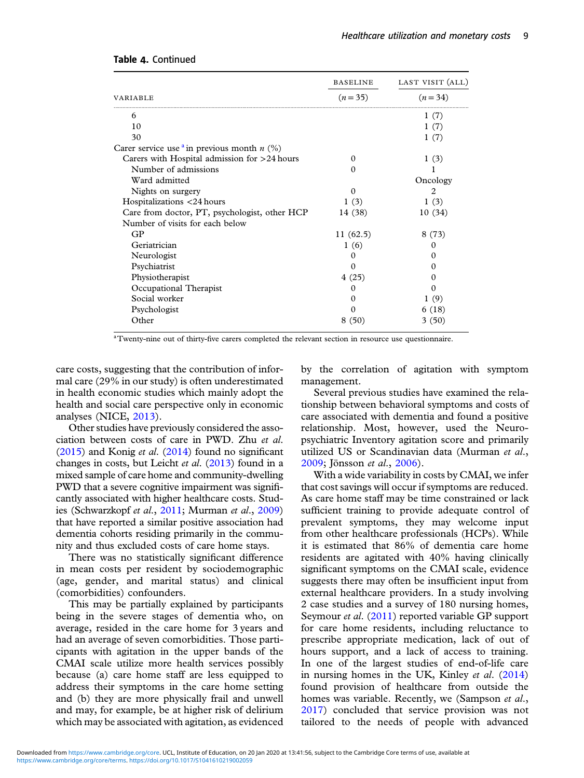|                                                                  | <b>BASELINE</b> | LAST VISIT (ALL) |  |
|------------------------------------------------------------------|-----------------|------------------|--|
| <b>VARIABLE</b>                                                  | $(n=35)$        | $(n=34)$         |  |
| 6                                                                |                 | 1(7)             |  |
| 10                                                               |                 | 1(7)             |  |
| 30                                                               |                 | 1(7)             |  |
| Carer service use <sup>a</sup> in previous month <i>n</i> $(\%)$ |                 |                  |  |
| Carers with Hospital admission for >24 hours                     | $\Omega$        | 1(3)             |  |
| Number of admissions                                             | $\Omega$        |                  |  |
| Ward admitted                                                    |                 | Oncology         |  |
| Nights on surgery                                                | $\Omega$        | $\mathfrak{D}$   |  |
| Hospitalizations <24 hours                                       | 1(3)            | 1(3)             |  |
| Care from doctor, PT, psychologist, other HCP                    | 14 (38)         | 10(34)           |  |
| Number of visits for each below                                  |                 |                  |  |
| GP                                                               | 11(62.5)        | 8(73)            |  |
| Geriatrician                                                     | 1(6)            | 0                |  |
| Neurologist                                                      | 0               | 0                |  |
| Psychiatrist                                                     | O               | 0                |  |
| Physiotherapist                                                  | 4(25)           | 0                |  |
| Occupational Therapist                                           | $\Omega$        | Ω                |  |
| Social worker                                                    | $\Omega$        | 1(9)             |  |
| Psychologist                                                     | 0               | 6 (18)           |  |
| Other                                                            | 8(50)           | 3 (50)           |  |

#### Table 4. Continued

aTwenty-nine out of thirty-five carers completed the relevant section in resource use questionnaire.

care costs, suggesting that the contribution of informal care (29% in our study) is often underestimated in health economic studies which mainly adopt the health and social care perspective only in economic analyses (NICE, [2013](#page-10-0)).

Other studies have previously considered the association between costs of care in PWD. Zhu et al. ([2015](#page-11-0)) and Konig et al.  $(2014)$  found no significant changes in costs, but Leicht et al. [\(2013](#page-10-0)) found in a mixed sample of care home and community-dwelling PWD that a severe cognitive impairment was significantly associated with higher healthcare costs. Studies (Schwarzkopf et al., [2011;](#page-11-0) Murman et al., [2009](#page-10-0)) that have reported a similar positive association had dementia cohorts residing primarily in the community and thus excluded costs of care home stays.

There was no statistically significant difference in mean costs per resident by sociodemographic (age, gender, and marital status) and clinical (comorbidities) confounders.

This may be partially explained by participants being in the severe stages of dementia who, on average, resided in the care home for 3 years and had an average of seven comorbidities. Those participants with agitation in the upper bands of the CMAI scale utilize more health services possibly because (a) care home staff are less equipped to address their symptoms in the care home setting and (b) they are more physically frail and unwell and may, for example, be at higher risk of delirium which may be associated with agitation, as evidenced

by the correlation of agitation with symptom management.

Several previous studies have examined the relationship between behavioral symptoms and costs of care associated with dementia and found a positive relationship. Most, however, used the Neuropsychiatric Inventory agitation score and primarily utilized US or Scandinavian data (Murman et al., [2009;](#page-10-0) Jönsson et al., [2006\)](#page-10-0).

With a wide variability in costs by CMAI, we infer that cost savings will occur if symptoms are reduced. As care home staff may be time constrained or lack sufficient training to provide adequate control of prevalent symptoms, they may welcome input from other healthcare professionals (HCPs). While it is estimated that 86% of dementia care home residents are agitated with 40% having clinically significant symptoms on the CMAI scale, evidence suggests there may often be insufficient input from external healthcare providers. In a study involving 2 case studies and a survey of 180 nursing homes, Seymour et al. ([2011\)](#page-11-0) reported variable GP support for care home residents, including reluctance to prescribe appropriate medication, lack of out of hours support, and a lack of access to training. In one of the largest studies of end-of-life care in nursing homes in the UK, Kinley et al. [\(2014](#page-10-0)) found provision of healthcare from outside the homes was variable. Recently, we (Sampson et al., [2017\)](#page-11-0) concluded that service provision was not tailored to the needs of people with advanced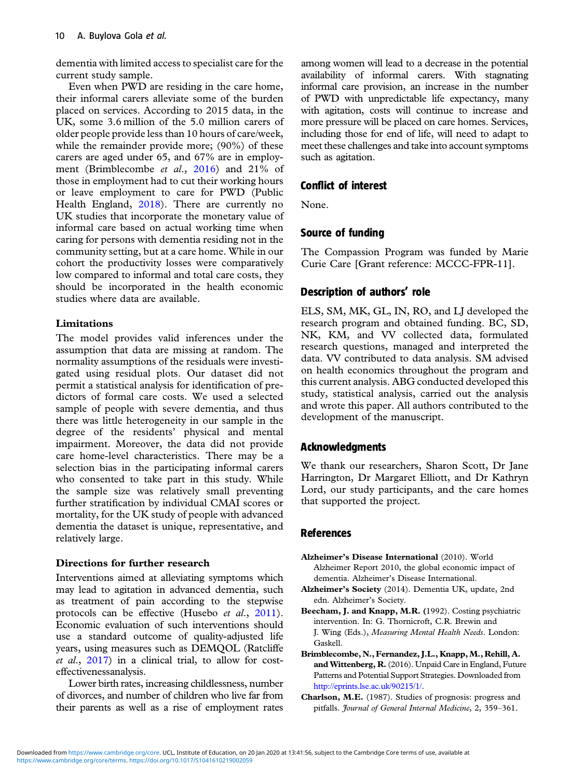<span id="page-9-0"></span>dementia with limited access to specialist care for the current study sample.

Even when PWD are residing in the care home, their informal carers alleviate some of the burden placed on services. According to 2015 data, in the UK, some 3.6 million of the 5.0 million carers of older people provide less than 10 hours of care/week, while the remainder provide more; (90%) of these carers are aged under 65, and 67% are in employment (Brimblecombe et al., 2016) and 21% of those in employment had to cut their working hours or leave employment to care for PWD (Public Health England, [2018\)](#page-11-0). There are currently no UK studies that incorporate the monetary value of informal care based on actual working time when caring for persons with dementia residing not in the community setting, but at a care home. While in our cohort the productivity losses were comparatively low compared to informal and total care costs, they should be incorporated in the health economic studies where data are available.

## Limitations

The model provides valid inferences under the assumption that data are missing at random. The normality assumptions of the residuals were investigated using residual plots. Our dataset did not permit a statistical analysis for identification of predictors of formal care costs. We used a selected sample of people with severe dementia, and thus there was little heterogeneity in our sample in the degree of the residents' physical and mental impairment. Moreover, the data did not provide care home-level characteristics. There may be a selection bias in the participating informal carers who consented to take part in this study. While the sample size was relatively small preventing further stratification by individual CMAI scores or mortality, for the UK study of people with advanced dementia the dataset is unique, representative, and relatively large.

## Directions for further research

Interventions aimed at alleviating symptoms which may lead to agitation in advanced dementia, such as treatment of pain according to the stepwise protocols can be effective (Husebo et al., [2011](#page-10-0)). Economic evaluation of such interventions should use a standard outcome of quality-adjusted life years, using measures such as DEMQOL (Ratcliffe et al., [2017\)](#page-11-0) in a clinical trial, to allow for costeffectivenessanalysis.

Lower birth rates, increasing childlessness, number of divorces, and number of children who live far from their parents as well as a rise of employment rates

among women will lead to a decrease in the potential availability of informal carers. With stagnating informal care provision, an increase in the number of PWD with unpredictable life expectancy, many with agitation, costs will continue to increase and more pressure will be placed on care homes. Services, including those for end of life, will need to adapt to meet these challenges and take into account symptoms such as agitation.

# Conflict of interest

None.

# Source of funding

The Compassion Program was funded by Marie Curie Care [Grant reference: MCCC-FPR-11].

# Description of authors' role

ELS, SM, MK, GL, IN, RO, and LJ developed the research program and obtained funding. BC, SD, NK, KM, and VV collected data, formulated research questions, managed and interpreted the data. VV contributed to data analysis. SM advised on health economics throughout the program and this current analysis. ABG conducted developed this study, statistical analysis, carried out the analysis and wrote this paper. All authors contributed to the development of the manuscript.

# Acknowledgments

We thank our researchers, Sharon Scott, Dr Jane Harrington, Dr Margaret Elliott, and Dr Kathryn Lord, our study participants, and the care homes that supported the project.

## References

- Alzheimer's Disease International (2010). World Alzheimer Report 2010, the global economic impact of dementia. Alzheimer's Disease International.
- Alzheimer's Society (2014). Dementia UK, update, 2nd edn. Alzheimer's Society.
- Beecham, J. and Knapp, M.R. (1992). Costing psychiatric intervention. In: G. Thornicroft, C.R. Brewin and J. Wing (Eds.), Measuring Mental Health Needs. London: Gaskell.
- Brimblecombe, N., Fernandez,J.L., Knapp,M., Rehill, A. and Wittenberg, R.(2016). Unpaid Care in England, Future Patterns and Potential Support Strategies. Downloaded from <http://eprints.lse.ac.uk/90215/1/>.
- Charlson, M.E. (1987). Studies of prognosis: progress and pitfalls. Journal of General Internal Medicine, 2, 359-361.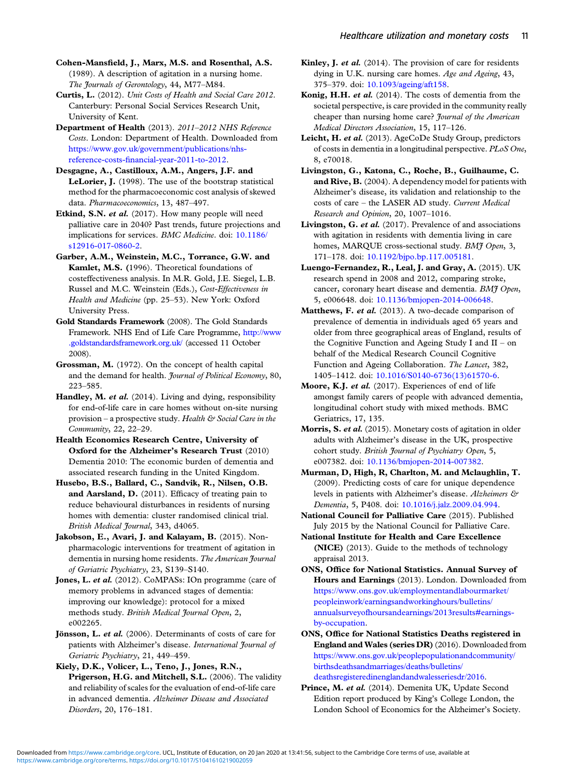<span id="page-10-0"></span>Cohen-Mansfield, J., Marx, M.S. and Rosenthal, A.S. (1989). A description of agitation in a nursing home. The Journals of Gerontology, 44, M77–M84.

Curtis, L. (2012). Unit Costs of Health and Social Care 2012. Canterbury: Personal Social Services Research Unit, University of Kent.

Department of Health (2013). 2011–2012 NHS Reference Costs. London: Department of Health. Downloaded from [https://www.gov.uk/government/publications/nhs](https://www.gov.uk/government/publications/nhs-reference-costs-financial-year-2011-to-2012)reference-costs-fi[nancial-year-2011-to-2012.](https://www.gov.uk/government/publications/nhs-reference-costs-financial-year-2011-to-2012)

Desgagne, A., Castilloux, A.M., Angers, J.F. and LeLorier, J. (1998). The use of the bootstrap statistical method for the pharmacoeconomic cost analysis of skewed data. Pharmacoeconomics, 13, 487–497.

Etkind, S.N. et al. (2017). How many people will need palliative care in 2040? Past trends, future projections and implications for services. BMC Medicine. doi: [10.1186/](https://doi.org/10.1186/s12916-017-0860-2) [s12916-017-0860-2](https://doi.org/10.1186/s12916-017-0860-2).

Garber, A.M., Weinstein, M.C., Torrance, G.W. and Kamlet, M.S. (1996). Theoretical foundations of costeffectiveness analysis. In M.R. Gold, J.E. Siegel, L.B. Russel and M.C. Weinstein (Eds.), Cost-Effectiveness in Health and Medicine (pp. 25–53). New York: Oxford University Press.

Gold Standards Framework (2008). The Gold Standards Framework. NHS End of Life Care Programme, [http://www](http://www.goldstandardsframework.org.uk/) [.goldstandardsframework.org.uk/](http://www.goldstandardsframework.org.uk/) (accessed 11 October 2008).

Grossman, M. (1972). On the concept of health capital and the demand for health. Journal of Political Economy, 80, 223–585.

Handley, M. et al. (2014). Living and dying, responsibility for end-of-life care in care homes without on-site nursing provision – a prospective study. Health  $\mathfrak{S}\mathfrak{S}$  Social Care in the Community, 22, 22–29.

Health Economics Research Centre, University of Oxford for the Alzheimer's Research Trust (2010) Dementia 2010: The economic burden of dementia and associated research funding in the United Kingdom.

Husebo, B.S., Ballard, C., Sandvik, R., Nilsen, O.B. and Aarsland, D. (2011). Efficacy of treating pain to reduce behavioural disturbances in residents of nursing homes with dementia: cluster randomised clinical trial. British Medical Journal, 343, d4065.

Jakobson, E., Avari, J. and Kalayam, B. (2015). Nonpharmacologic interventions for treatment of agitation in dementia in nursing home residents. The American Journal of Geriatric Psychiatry, 23, S139–S140.

Jones, L. et al. (2012). CoMPASs: IOn programme (care of memory problems in advanced stages of dementia: improving our knowledge): protocol for a mixed methods study. British Medical Journal Open, 2, e002265.

Jönsson, L. et al. (2006). Determinants of costs of care for patients with Alzheimer's disease. International Journal of Geriatric Psychiatry, 21, 449–459.

Kiely, D.K., Volicer, L., Teno, J., Jones, R.N., Prigerson, H.G. and Mitchell, S.L. (2006). The validity and reliability of scales for the evaluation of end-of-life care in advanced dementia. Alzheimer Disease and Associated Disorders, 20, 176–181.

Kinley, J. *et al.* (2014). The provision of care for residents dying in U.K. nursing care homes. Age and Ageing, 43, 375–379. doi: [10.1093/ageing/aft158.](https://doi.org/10.1093/ageing/aft158)

Konig, H.H. et al. (2014). The costs of dementia from the societal perspective, is care provided in the community really cheaper than nursing home care? Journal of the American Medical Directors Association, 15, 117–126.

Leicht, H. et al. (2013). AgeCoDe Study Group, predictors of costs in dementia in a longitudinal perspective. PLoS One, 8, e70018.

Livingston, G., Katona, C., Roche, B., Guilhaume, C. and Rive, B. (2004). A dependency model for patients with Alzheimer's disease, its validation and relationship to the costs of care – the LASER AD study. Current Medical Research and Opinion, 20, 1007–1016.

Livingston, G. et al. (2017). Prevalence of and associations with agitation in residents with dementia living in care homes, MARQUE cross-sectional study. BMJ Open, 3, 171–178. doi: [10.1192/bjpo.bp.117.005181.](https://doi.org/10.1192/bjpo.bp.117.005181)

Luengo-Fernandez, R., Leal, J. and Gray, A. (2015). UK research spend in 2008 and 2012, comparing stroke, cancer, coronary heart disease and dementia. BMJ Open, 5, e006648. doi: [10.1136/bmjopen-2014-006648.](https://doi.org/10.1136/bmjopen-2014-006648)

Matthews, F. et al. (2013). A two-decade comparison of prevalence of dementia in individuals aged 65 years and older from three geographical areas of England, results of the Cognitive Function and Ageing Study I and  $II - on$ behalf of the Medical Research Council Cognitive Function and Ageing Collaboration. The Lancet, 382, 1405–1412. doi: [10.1016/S0140-6736\(13\)61570-6](https://doi.org/10.1016/S0140-6736(13)61570-6).

Moore, K.J. et al. (2017). Experiences of end of life amongst family carers of people with advanced dementia, longitudinal cohort study with mixed methods. BMC Geriatrics, 17, 135.

Morris, S. et al. (2015). Monetary costs of agitation in older adults with Alzheimer's disease in the UK, prospective cohort study. British Journal of Psychiatry Open, 5, e007382. doi: [10.1136/bmjopen-2014-007382.](https://doi.org/10.1136/bmjopen-2014-007382)

Murman, D, High, R, Charlton, M. and Mclaughlin, T. (2009). Predicting costs of care for unique dependence levels in patients with Alzheimer's disease. Alzheimers & Dementia, 5, P408. doi: [10.1016/j.jalz.2009.04.994.](https://doi.org/10.1016/j.jalz.2009.04.994)

National Council for Palliative Care (2015). Published July 2015 by the National Council for Palliative Care.

National Institute for Health and Care Excellence (NICE) (2013). Guide to the methods of technology appraisal 2013.

ONS, Office for National Statistics. Annual Survey of Hours and Earnings (2013). London. Downloaded from [https://www.ons.gov.uk/employmentandlabourmarket/](https://www.ons.gov.uk/employmentandlabourmarket/peopleinwork/earningsandworkinghours/bulletins/annualsurveyofhoursandearnings/2013results#earnings-by-occupation) [peopleinwork/earningsandworkinghours/bulletins/](https://www.ons.gov.uk/employmentandlabourmarket/peopleinwork/earningsandworkinghours/bulletins/annualsurveyofhoursandearnings/2013results#earnings-by-occupation) [annualsurveyofhoursandearnings/2013results#earnings](https://www.ons.gov.uk/employmentandlabourmarket/peopleinwork/earningsandworkinghours/bulletins/annualsurveyofhoursandearnings/2013results#earnings-by-occupation)[by-occupation](https://www.ons.gov.uk/employmentandlabourmarket/peopleinwork/earningsandworkinghours/bulletins/annualsurveyofhoursandearnings/2013results#earnings-by-occupation).

ONS, Office for National Statistics Deaths registered in England and Wales (series DR) (2016). Downloaded from [https://www.ons.gov.uk/peoplepopulationandcommunity/](https://www.ons.gov.uk/peoplepopulationandcommunity/birthsdeathsandmarriages/deaths/bulletins/deathsregisteredinenglandandwalesseriesdr/2016) [birthsdeathsandmarriages/deaths/bulletins/](https://www.ons.gov.uk/peoplepopulationandcommunity/birthsdeathsandmarriages/deaths/bulletins/deathsregisteredinenglandandwalesseriesdr/2016) [deathsregisteredinenglandandwalesseriesdr/2016](https://www.ons.gov.uk/peoplepopulationandcommunity/birthsdeathsandmarriages/deaths/bulletins/deathsregisteredinenglandandwalesseriesdr/2016).

Prince, M. et al. (2014). Demenita UK, Update Second Edition report produced by King's College London, the London School of Economics for the Alzheimer's Society.